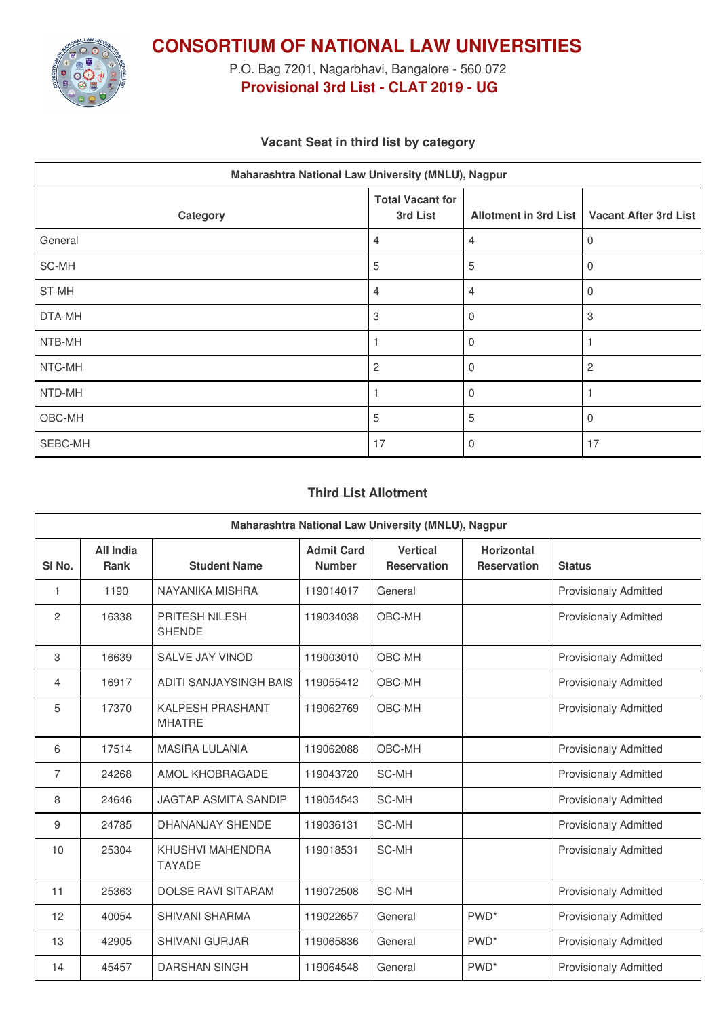

**CONSORTIUM OF NATIONAL LAW UNIVERSITIES**

P.O. Bag 7201, Nagarbhavi, Bangalore - 560 072 **Provisional 3rd List - CLAT 2019 - UG**

### **Vacant Seat in third list by category**

| Maharashtra National Law University (MNLU), Nagpur |                                     |                              |                              |  |  |  |
|----------------------------------------------------|-------------------------------------|------------------------------|------------------------------|--|--|--|
| Category                                           | <b>Total Vacant for</b><br>3rd List | <b>Allotment in 3rd List</b> | <b>Vacant After 3rd List</b> |  |  |  |
| General                                            | 4                                   | 4                            | 0                            |  |  |  |
| SC-MH                                              | 5                                   | 5                            | $\mathbf 0$                  |  |  |  |
| ST-MH                                              | 4                                   | 4                            | $\mathbf 0$                  |  |  |  |
| DTA-MH                                             | 3                                   | $\Omega$                     | 3                            |  |  |  |
| NTB-MH                                             |                                     | $\Omega$                     |                              |  |  |  |
| NTC-MH                                             | $\overline{c}$                      | $\mathbf 0$                  | $\overline{c}$               |  |  |  |
| NTD-MH                                             |                                     | $\Omega$                     |                              |  |  |  |
| OBC-MH                                             | 5                                   | 5                            | $\Omega$                     |  |  |  |
| SEBC-MH                                            | 17                                  | $\Omega$                     | 17                           |  |  |  |

#### **Third List Allotment**

| Maharashtra National Law University (MNLU), Nagpur |                          |                                          |                                    |                                       |                                         |                              |  |
|----------------------------------------------------|--------------------------|------------------------------------------|------------------------------------|---------------------------------------|-----------------------------------------|------------------------------|--|
| SI <sub>No.</sub>                                  | All India<br><b>Rank</b> | <b>Student Name</b>                      | <b>Admit Card</b><br><b>Number</b> | <b>Vertical</b><br><b>Reservation</b> | <b>Horizontal</b><br><b>Reservation</b> | <b>Status</b>                |  |
| 1                                                  | 1190                     | NAYANIKA MISHRA                          | 119014017                          | General                               |                                         | <b>Provisionaly Admitted</b> |  |
| 2                                                  | 16338                    | PRITESH NILESH<br><b>SHENDE</b>          | 119034038                          | OBC-MH                                |                                         | <b>Provisionaly Admitted</b> |  |
| 3                                                  | 16639                    | <b>SALVE JAY VINOD</b>                   | 119003010                          | OBC-MH                                |                                         | <b>Provisionaly Admitted</b> |  |
| 4                                                  | 16917                    | <b>ADITI SANJAYSINGH BAIS</b>            | 119055412                          | OBC-MH                                |                                         | <b>Provisionaly Admitted</b> |  |
| 5                                                  | 17370                    | <b>KALPESH PRASHANT</b><br><b>MHATRE</b> | 119062769                          | OBC-MH                                |                                         | <b>Provisionaly Admitted</b> |  |
| 6                                                  | 17514                    | <b>MASIRA LULANIA</b>                    | 119062088                          | OBC-MH                                |                                         | <b>Provisionaly Admitted</b> |  |
| $\overline{7}$                                     | 24268                    | AMOL KHOBRAGADE                          | 119043720                          | <b>SC-MH</b>                          |                                         | <b>Provisionaly Admitted</b> |  |
| 8                                                  | 24646                    | <b>JAGTAP ASMITA SANDIP</b>              | 119054543                          | <b>SC-MH</b>                          |                                         | <b>Provisionaly Admitted</b> |  |
| 9                                                  | 24785                    | <b>DHANANJAY SHENDE</b>                  | 119036131                          | SC-MH                                 |                                         | <b>Provisionaly Admitted</b> |  |
| 10                                                 | 25304                    | KHUSHVI MAHENDRA<br><b>TAYADE</b>        | 119018531                          | SC-MH                                 |                                         | <b>Provisionaly Admitted</b> |  |
| 11                                                 | 25363                    | <b>DOLSE RAVI SITARAM</b>                | 119072508                          | SC-MH                                 |                                         | <b>Provisionaly Admitted</b> |  |
| 12                                                 | 40054                    | <b>SHIVANI SHARMA</b>                    | 119022657                          | General                               | PWD <sup>*</sup>                        | Provisionaly Admitted        |  |
| 13                                                 | 42905                    | <b>SHIVANI GURJAR</b>                    | 119065836                          | General                               | PWD <sup>*</sup>                        | <b>Provisionaly Admitted</b> |  |
| 14                                                 | 45457                    | <b>DARSHAN SINGH</b>                     | 119064548                          | General                               | PWD <sup>*</sup>                        | <b>Provisionaly Admitted</b> |  |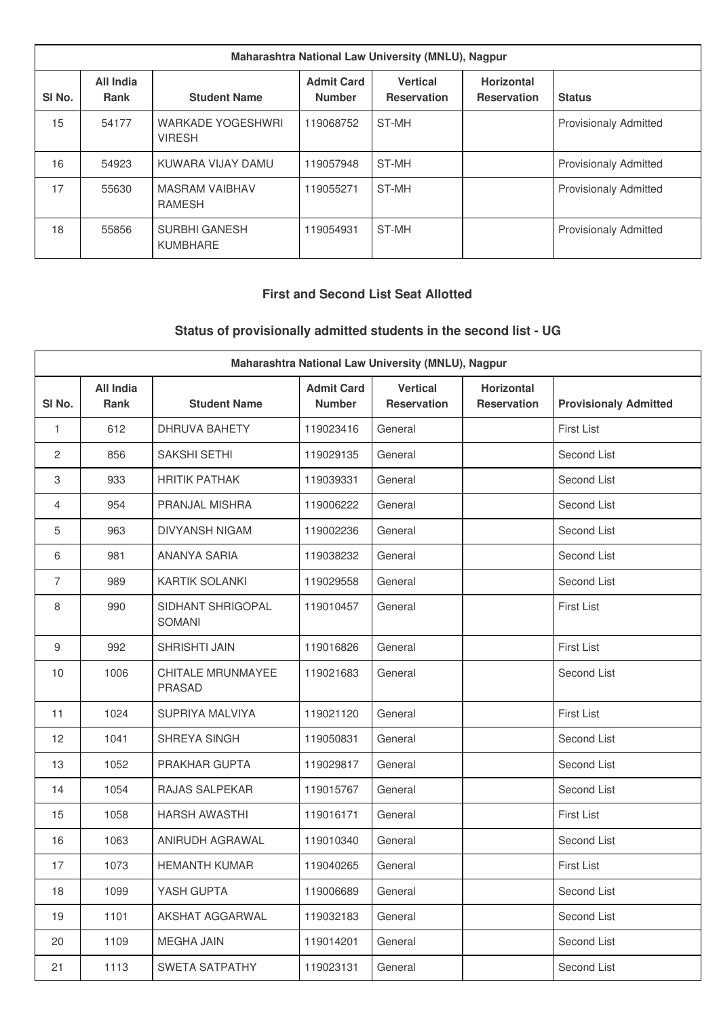| Maharashtra National Law University (MNLU), Nagpur |                                 |                                    |                                    |                                       |                                         |                              |
|----------------------------------------------------|---------------------------------|------------------------------------|------------------------------------|---------------------------------------|-----------------------------------------|------------------------------|
| SI <sub>No.</sub>                                  | <b>All India</b><br><b>Rank</b> | <b>Student Name</b>                | <b>Admit Card</b><br><b>Number</b> | <b>Vertical</b><br><b>Reservation</b> | <b>Horizontal</b><br><b>Reservation</b> | <b>Status</b>                |
| 15                                                 | 54177                           | WARKADE YOGESHWRI<br><b>VIRESH</b> | 119068752                          | ST-MH                                 |                                         | <b>Provisionaly Admitted</b> |
| 16                                                 | 54923                           | KUWARA VIJAY DAMU                  | 119057948                          | ST-MH                                 |                                         | <b>Provisionaly Admitted</b> |
| 17                                                 | 55630                           | <b>MASRAM VAIBHAV</b><br>RAMESH    | 119055271                          | ST-MH                                 |                                         | <b>Provisionaly Admitted</b> |
| 18                                                 | 55856                           | <b>SURBHI GANESH</b><br>KUMBHARE   | 19054931                           | ST-MH                                 |                                         | <b>Provisionaly Admitted</b> |

### **First and Second List Seat Allotted**

# **Status of provisionally admitted students in the second list - UG**

| Maharashtra National Law University (MNLU), Nagpur |                                 |                                    |                                    |                                       |                                  |                              |
|----------------------------------------------------|---------------------------------|------------------------------------|------------------------------------|---------------------------------------|----------------------------------|------------------------------|
| SI No.                                             | <b>All India</b><br><b>Rank</b> | <b>Student Name</b>                | <b>Admit Card</b><br><b>Number</b> | <b>Vertical</b><br><b>Reservation</b> | Horizontal<br><b>Reservation</b> | <b>Provisionaly Admitted</b> |
| 1                                                  | 612                             | <b>DHRUVA BAHETY</b>               | 119023416                          | General                               |                                  | First List                   |
| 2                                                  | 856                             | SAKSHI SETHI                       | 119029135                          | General                               |                                  | Second List                  |
| 3                                                  | 933                             | <b>HRITIK PATHAK</b>               | 119039331                          | General                               |                                  | Second List                  |
| 4                                                  | 954                             | <b>PRANJAL MISHRA</b>              | 119006222                          | General                               |                                  | Second List                  |
| 5                                                  | 963                             | <b>DIVYANSH NIGAM</b>              | 119002236                          | General                               |                                  | Second List                  |
| 6                                                  | 981                             | ANANYA SARIA                       | 119038232                          | General                               |                                  | Second List                  |
| $\overline{7}$                                     | 989                             | <b>KARTIK SOLANKI</b>              | 119029558                          | General                               |                                  | Second List                  |
| 8                                                  | 990                             | SIDHANT SHRIGOPAL<br><b>SOMANI</b> | 119010457                          | General                               |                                  | <b>First List</b>            |
| $\boldsymbol{9}$                                   | 992                             | SHRISHTI JAIN                      | 119016826                          | General                               |                                  | First List                   |
| 10                                                 | 1006                            | CHITALE MRUNMAYEE<br><b>PRASAD</b> | 119021683                          | General                               |                                  | Second List                  |
| 11                                                 | 1024                            | SUPRIYA MALVIYA                    | 119021120                          | General                               |                                  | <b>First List</b>            |
| 12                                                 | 1041                            | SHREYA SINGH                       | 119050831                          | General                               |                                  | Second List                  |
| 13                                                 | 1052                            | PRAKHAR GUPTA                      | 119029817                          | General                               |                                  | Second List                  |
| 14                                                 | 1054                            | RAJAS SALPEKAR                     | 119015767                          | General                               |                                  | Second List                  |
| 15                                                 | 1058                            | <b>HARSH AWASTHI</b>               | 119016171                          | General                               |                                  | First List                   |
| 16                                                 | 1063                            | ANIRUDH AGRAWAL                    | 119010340                          | General                               |                                  | Second List                  |
| 17                                                 | 1073                            | <b>HEMANTH KUMAR</b>               | 119040265                          | General                               |                                  | <b>First List</b>            |
| 18                                                 | 1099                            | YASH GUPTA                         | 119006689                          | General                               |                                  | Second List                  |
| 19                                                 | 1101                            | AKSHAT AGGARWAL                    | 119032183                          | General                               |                                  | Second List                  |
| 20                                                 | 1109                            | <b>MEGHA JAIN</b>                  | 119014201                          | General                               |                                  | Second List                  |
| 21                                                 | 1113                            | SWETA SATPATHY                     | 119023131                          | General                               |                                  | Second List                  |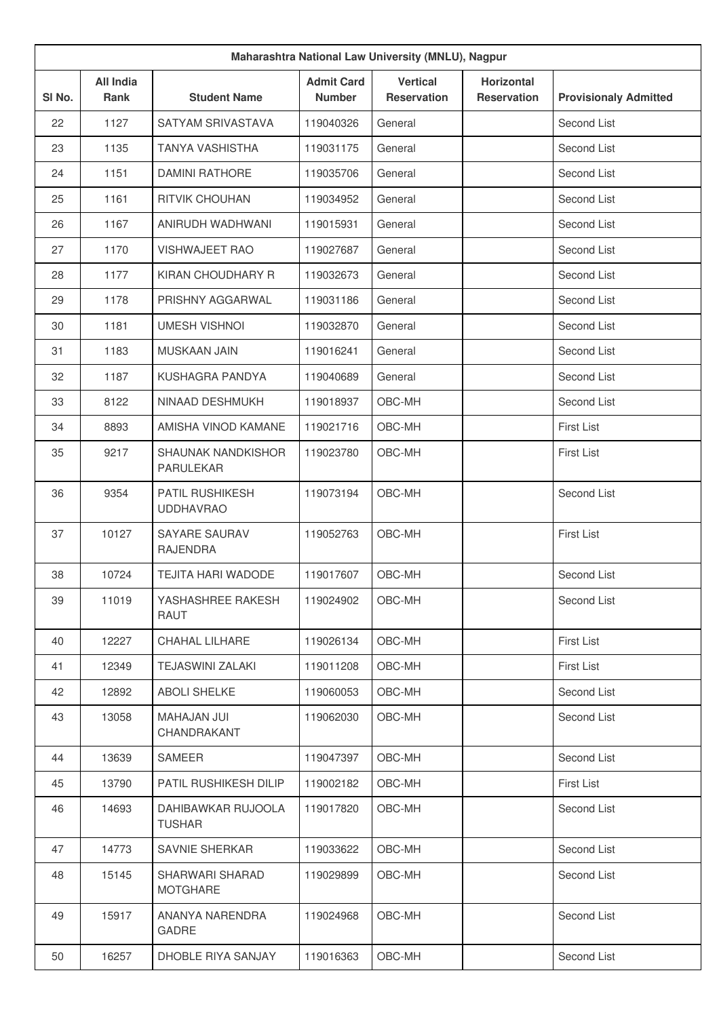|        | Maharashtra National Law University (MNLU), Nagpur |                                         |                                    |                                       |                                         |                              |  |
|--------|----------------------------------------------------|-----------------------------------------|------------------------------------|---------------------------------------|-----------------------------------------|------------------------------|--|
| SI No. | <b>All India</b><br><b>Rank</b>                    | <b>Student Name</b>                     | <b>Admit Card</b><br><b>Number</b> | <b>Vertical</b><br><b>Reservation</b> | <b>Horizontal</b><br><b>Reservation</b> | <b>Provisionaly Admitted</b> |  |
| 22     | 1127                                               | SATYAM SRIVASTAVA                       | 119040326                          | General                               |                                         | Second List                  |  |
| 23     | 1135                                               | <b>TANYA VASHISTHA</b>                  | 119031175                          | General                               |                                         | Second List                  |  |
| 24     | 1151                                               | <b>DAMINI RATHORE</b>                   | 119035706                          | General                               |                                         | Second List                  |  |
| 25     | 1161                                               | RITVIK CHOUHAN                          | 119034952                          | General                               |                                         | Second List                  |  |
| 26     | 1167                                               | ANIRUDH WADHWANI                        | 119015931                          | General                               |                                         | Second List                  |  |
| 27     | 1170                                               | <b>VISHWAJEET RAO</b>                   | 119027687                          | General                               |                                         | Second List                  |  |
| 28     | 1177                                               | KIRAN CHOUDHARY R                       | 119032673                          | General                               |                                         | Second List                  |  |
| 29     | 1178                                               | PRISHNY AGGARWAL                        | 119031186                          | General                               |                                         | Second List                  |  |
| 30     | 1181                                               | <b>UMESH VISHNOI</b>                    | 119032870                          | General                               |                                         | Second List                  |  |
| 31     | 1183                                               | <b>MUSKAAN JAIN</b>                     | 119016241                          | General                               |                                         | Second List                  |  |
| 32     | 1187                                               | KUSHAGRA PANDYA                         | 119040689                          | General                               |                                         | Second List                  |  |
| 33     | 8122                                               | NINAAD DESHMUKH                         | 119018937                          | OBC-MH                                |                                         | Second List                  |  |
| 34     | 8893                                               | AMISHA VINOD KAMANE                     | 119021716                          | OBC-MH                                |                                         | <b>First List</b>            |  |
| 35     | 9217                                               | SHAUNAK NANDKISHOR<br><b>PARULEKAR</b>  | 119023780                          | OBC-MH                                |                                         | <b>First List</b>            |  |
| 36     | 9354                                               | PATIL RUSHIKESH<br><b>UDDHAVRAO</b>     | 119073194                          | OBC-MH                                |                                         | Second List                  |  |
| 37     | 10127                                              | <b>SAYARE SAURAV</b><br><b>RAJENDRA</b> | 119052763                          | OBC-MH                                |                                         | <b>First List</b>            |  |
| 38     | 10724                                              | <b>TEJITA HARI WADODE</b>               | 119017607                          | OBC-MH                                |                                         | Second List                  |  |
| 39     | 11019                                              | YASHASHREE RAKESH<br>RAUT               | 119024902                          | OBC-MH                                |                                         | Second List                  |  |
| 40     | 12227                                              | CHAHAL LILHARE                          | 119026134                          | OBC-MH                                |                                         | <b>First List</b>            |  |
| 41     | 12349                                              | <b>TEJASWINI ZALAKI</b>                 | 119011208                          | OBC-MH                                |                                         | <b>First List</b>            |  |
| 42     | 12892                                              | <b>ABOLI SHELKE</b>                     | 119060053                          | OBC-MH                                |                                         | Second List                  |  |
| 43     | 13058                                              | <b>MAHAJAN JUI</b><br>CHANDRAKANT       | 119062030                          | OBC-MH                                |                                         | Second List                  |  |
| 44     | 13639                                              | SAMEER                                  | 119047397                          | OBC-MH                                |                                         | Second List                  |  |
| 45     | 13790                                              | PATIL RUSHIKESH DILIP                   | 119002182                          | OBC-MH                                |                                         | <b>First List</b>            |  |
| 46     | 14693                                              | DAHIBAWKAR RUJOOLA<br><b>TUSHAR</b>     | 119017820                          | OBC-MH                                |                                         | Second List                  |  |
| 47     | 14773                                              | SAVNIE SHERKAR                          | 119033622                          | OBC-MH                                |                                         | Second List                  |  |
| 48     | 15145                                              | SHARWARI SHARAD<br><b>MOTGHARE</b>      | 119029899                          | OBC-MH                                |                                         | Second List                  |  |
| 49     | 15917                                              | ANANYA NARENDRA<br>GADRE                | 119024968                          | OBC-MH                                |                                         | Second List                  |  |
| 50     | 16257                                              | DHOBLE RIYA SANJAY                      | 119016363                          | OBC-MH                                |                                         | Second List                  |  |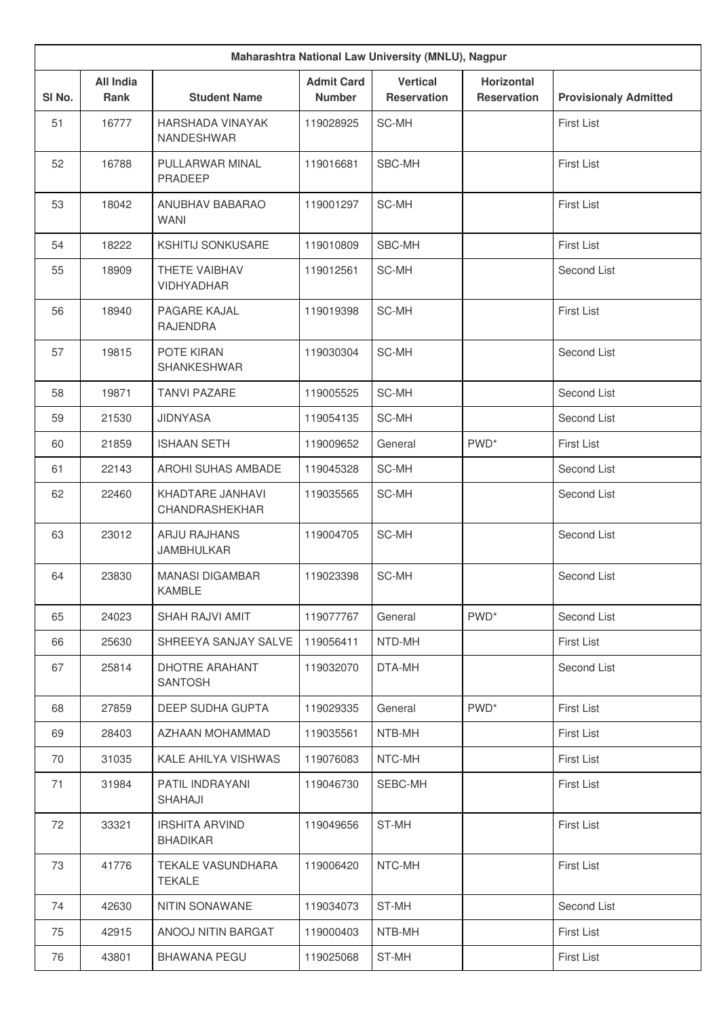|                   | Maharashtra National Law University (MNLU), Nagpur |                                          |                                    |                                       |                                         |                              |  |
|-------------------|----------------------------------------------------|------------------------------------------|------------------------------------|---------------------------------------|-----------------------------------------|------------------------------|--|
| SI <sub>No.</sub> | <b>All India</b><br>Rank                           | <b>Student Name</b>                      | <b>Admit Card</b><br><b>Number</b> | <b>Vertical</b><br><b>Reservation</b> | <b>Horizontal</b><br><b>Reservation</b> | <b>Provisionaly Admitted</b> |  |
| 51                | 16777                                              | <b>HARSHADA VINAYAK</b><br>NANDESHWAR    | 119028925                          | SC-MH                                 |                                         | <b>First List</b>            |  |
| 52                | 16788                                              | PULLARWAR MINAL<br>PRADEEP               | 119016681                          | SBC-MH                                |                                         | <b>First List</b>            |  |
| 53                | 18042                                              | ANUBHAV BABARAO<br><b>WANI</b>           | 119001297                          | SC-MH                                 |                                         | <b>First List</b>            |  |
| 54                | 18222                                              | <b>KSHITIJ SONKUSARE</b>                 | 119010809                          | SBC-MH                                |                                         | First List                   |  |
| 55                | 18909                                              | THETE VAIBHAV<br><b>VIDHYADHAR</b>       | 119012561                          | SC-MH                                 |                                         | Second List                  |  |
| 56                | 18940                                              | PAGARE KAJAL<br><b>RAJENDRA</b>          | 119019398                          | SC-MH                                 |                                         | First List                   |  |
| 57                | 19815                                              | POTE KIRAN<br>SHANKESHWAR                | 119030304                          | SC-MH                                 |                                         | Second List                  |  |
| 58                | 19871                                              | <b>TANVI PAZARE</b>                      | 119005525                          | SC-MH                                 |                                         | Second List                  |  |
| 59                | 21530                                              | <b>JIDNYASA</b>                          | 119054135                          | SC-MH                                 |                                         | Second List                  |  |
| 60                | 21859                                              | <b>ISHAAN SETH</b>                       | 119009652                          | General                               | PWD <sup>*</sup>                        | First List                   |  |
| 61                | 22143                                              | AROHI SUHAS AMBADE                       | 119045328                          | SC-MH                                 |                                         | Second List                  |  |
| 62                | 22460                                              | KHADTARE JANHAVI<br>CHANDRASHEKHAR       | 119035565                          | SC-MH                                 |                                         | Second List                  |  |
| 63                | 23012                                              | <b>ARJU RAJHANS</b><br><b>JAMBHULKAR</b> | 119004705                          | SC-MH                                 |                                         | Second List                  |  |
| 64                | 23830                                              | <b>MANASI DIGAMBAR</b><br><b>KAMBLE</b>  | 119023398                          | SC-MH                                 |                                         | Second List                  |  |
| 65                | 24023                                              | SHAH RAJVI AMIT                          | 119077767                          | General                               | PWD <sup>*</sup>                        | Second List                  |  |
| 66                | 25630                                              | SHREEYA SANJAY SALVE                     | 119056411                          | NTD-MH                                |                                         | First List                   |  |
| 67                | 25814                                              | <b>DHOTRE ARAHANT</b><br><b>SANTOSH</b>  | 119032070                          | DTA-MH                                |                                         | Second List                  |  |
| 68                | 27859                                              | DEEP SUDHA GUPTA                         | 119029335                          | General                               | PWD <sup>*</sup>                        | First List                   |  |
| 69                | 28403                                              | AZHAAN MOHAMMAD                          | 119035561                          | NTB-MH                                |                                         | <b>First List</b>            |  |
| 70                | 31035                                              | KALE AHILYA VISHWAS                      | 119076083                          | NTC-MH                                |                                         | First List                   |  |
| 71                | 31984                                              | PATIL INDRAYANI<br>SHAHAJI               | 119046730                          | SEBC-MH                               |                                         | First List                   |  |
| 72                | 33321                                              | <b>IRSHITA ARVIND</b><br><b>BHADIKAR</b> | 119049656                          | ST-MH                                 |                                         | First List                   |  |
| 73                | 41776                                              | TEKALE VASUNDHARA<br><b>TEKALE</b>       | 119006420                          | NTC-MH                                |                                         | First List                   |  |
| 74                | 42630                                              | NITIN SONAWANE                           | 119034073                          | ST-MH                                 |                                         | Second List                  |  |
| 75                | 42915                                              | ANOOJ NITIN BARGAT                       | 119000403                          | NTB-MH                                |                                         | First List                   |  |
| 76                | 43801                                              | <b>BHAWANA PEGU</b>                      | 119025068                          | ST-MH                                 |                                         | First List                   |  |